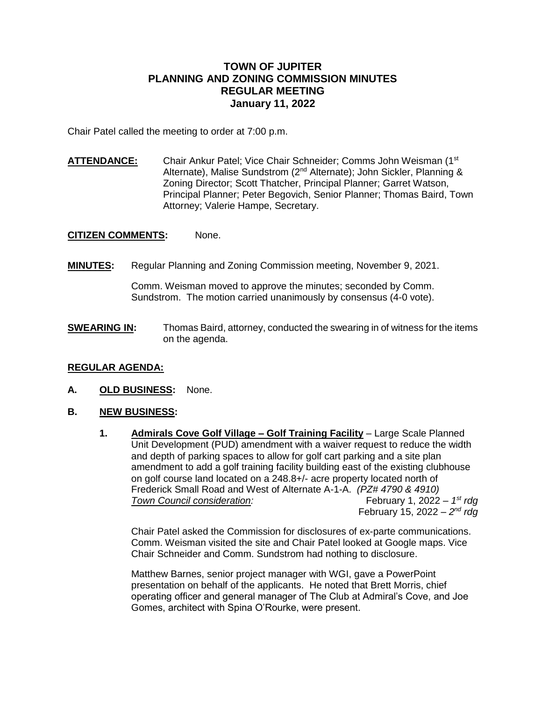## **TOWN OF JUPITER PLANNING AND ZONING COMMISSION MINUTES REGULAR MEETING January 11, 2022**

Chair Patel called the meeting to order at 7:00 p.m.

**ATTENDANCE:** Chair Ankur Patel; Vice Chair Schneider; Comms John Weisman (1st Alternate), Malise Sundstrom (2nd Alternate); John Sickler, Planning & Zoning Director; Scott Thatcher, Principal Planner; Garret Watson, Principal Planner; Peter Begovich, Senior Planner; Thomas Baird, Town Attorney; Valerie Hampe, Secretary.

**CITIZEN COMMENTS:** None.

**MINUTES:** Regular Planning and Zoning Commission meeting, November 9, 2021.

Comm. Weisman moved to approve the minutes; seconded by Comm. Sundstrom. The motion carried unanimously by consensus (4-0 vote).

**SWEARING IN:** Thomas Baird, attorney, conducted the swearing in of witness for the items on the agenda.

## **REGULAR AGENDA:**

- **A. OLD BUSINESS:** None.
- **B. NEW BUSINESS:** 
	- **1. Admirals Cove Golf Village – Golf Training Facility** Large Scale Planned Unit Development (PUD) amendment with a waiver request to reduce the width and depth of parking spaces to allow for golf cart parking and a site plan amendment to add a golf training facility building east of the existing clubhouse on golf course land located on a 248.8+/- acre property located north of Frederick Small Road and West of Alternate A-1-A. *(PZ# 4790 & 4910)*  **Town Council consideration:** February 1, 2022 - 1st rda February 15, 2022 *– 2 nd rdg*

Chair Patel asked the Commission for disclosures of ex-parte communications. Comm. Weisman visited the site and Chair Patel looked at Google maps. Vice Chair Schneider and Comm. Sundstrom had nothing to disclosure.

Matthew Barnes, senior project manager with WGI, gave a PowerPoint presentation on behalf of the applicants. He noted that Brett Morris, chief operating officer and general manager of The Club at Admiral's Cove, and Joe Gomes, architect with Spina O'Rourke, were present.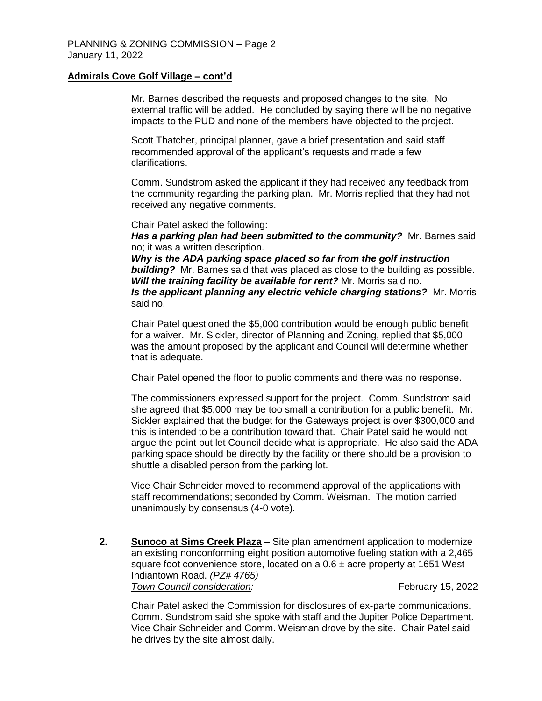## **Admirals Cove Golf Village – cont'd**

Mr. Barnes described the requests and proposed changes to the site. No external traffic will be added. He concluded by saying there will be no negative impacts to the PUD and none of the members have objected to the project.

Scott Thatcher, principal planner, gave a brief presentation and said staff recommended approval of the applicant's requests and made a few clarifications.

Comm. Sundstrom asked the applicant if they had received any feedback from the community regarding the parking plan. Mr. Morris replied that they had not received any negative comments.

Chair Patel asked the following:

*Has a parking plan had been submitted to the community?* Mr. Barnes said no; it was a written description.

*Why is the ADA parking space placed so far from the golf instruction building?* Mr. Barnes said that was placed as close to the building as possible. *Will the training facility be available for rent?* Mr. Morris said no. *Is the applicant planning any electric vehicle charging stations?* Mr. Morris said no.

Chair Patel questioned the \$5,000 contribution would be enough public benefit for a waiver. Mr. Sickler, director of Planning and Zoning, replied that \$5,000 was the amount proposed by the applicant and Council will determine whether that is adequate.

Chair Patel opened the floor to public comments and there was no response.

The commissioners expressed support for the project. Comm. Sundstrom said she agreed that \$5,000 may be too small a contribution for a public benefit. Mr. Sickler explained that the budget for the Gateways project is over \$300,000 and this is intended to be a contribution toward that. Chair Patel said he would not argue the point but let Council decide what is appropriate. He also said the ADA parking space should be directly by the facility or there should be a provision to shuttle a disabled person from the parking lot.

Vice Chair Schneider moved to recommend approval of the applications with staff recommendations; seconded by Comm. Weisman. The motion carried unanimously by consensus (4-0 vote).

**2. Sunoco at Sims Creek Plaza** – Site plan amendment application to modernize an existing nonconforming eight position automotive fueling station with a 2,465 square foot convenience store, located on a  $0.6 \pm$  acre property at 1651 West Indiantown Road. *(PZ# 4765)*  **Town Council consideration:** Town Town Tebruary 15, 2022

Chair Patel asked the Commission for disclosures of ex-parte communications. Comm. Sundstrom said she spoke with staff and the Jupiter Police Department. Vice Chair Schneider and Comm. Weisman drove by the site. Chair Patel said he drives by the site almost daily.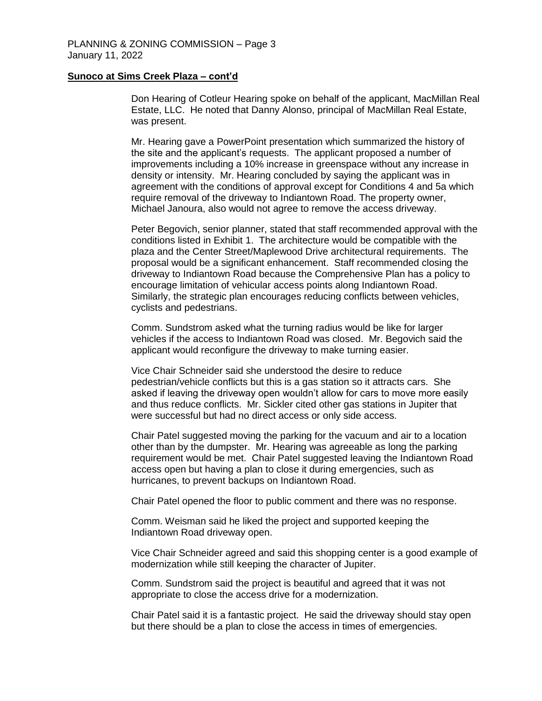#### **Sunoco at Sims Creek Plaza – cont'd**

Don Hearing of Cotleur Hearing spoke on behalf of the applicant, MacMillan Real Estate, LLC. He noted that Danny Alonso, principal of MacMillan Real Estate, was present.

Mr. Hearing gave a PowerPoint presentation which summarized the history of the site and the applicant's requests. The applicant proposed a number of improvements including a 10% increase in greenspace without any increase in density or intensity. Mr. Hearing concluded by saying the applicant was in agreement with the conditions of approval except for Conditions 4 and 5a which require removal of the driveway to Indiantown Road. The property owner, Michael Janoura, also would not agree to remove the access driveway.

Peter Begovich, senior planner, stated that staff recommended approval with the conditions listed in Exhibit 1. The architecture would be compatible with the plaza and the Center Street/Maplewood Drive architectural requirements. The proposal would be a significant enhancement. Staff recommended closing the driveway to Indiantown Road because the Comprehensive Plan has a policy to encourage limitation of vehicular access points along Indiantown Road. Similarly, the strategic plan encourages reducing conflicts between vehicles, cyclists and pedestrians.

Comm. Sundstrom asked what the turning radius would be like for larger vehicles if the access to Indiantown Road was closed. Mr. Begovich said the applicant would reconfigure the driveway to make turning easier.

Vice Chair Schneider said she understood the desire to reduce pedestrian/vehicle conflicts but this is a gas station so it attracts cars. She asked if leaving the driveway open wouldn't allow for cars to move more easily and thus reduce conflicts. Mr. Sickler cited other gas stations in Jupiter that were successful but had no direct access or only side access.

Chair Patel suggested moving the parking for the vacuum and air to a location other than by the dumpster. Mr. Hearing was agreeable as long the parking requirement would be met. Chair Patel suggested leaving the Indiantown Road access open but having a plan to close it during emergencies, such as hurricanes, to prevent backups on Indiantown Road.

Chair Patel opened the floor to public comment and there was no response.

Comm. Weisman said he liked the project and supported keeping the Indiantown Road driveway open.

Vice Chair Schneider agreed and said this shopping center is a good example of modernization while still keeping the character of Jupiter.

Comm. Sundstrom said the project is beautiful and agreed that it was not appropriate to close the access drive for a modernization.

Chair Patel said it is a fantastic project. He said the driveway should stay open but there should be a plan to close the access in times of emergencies.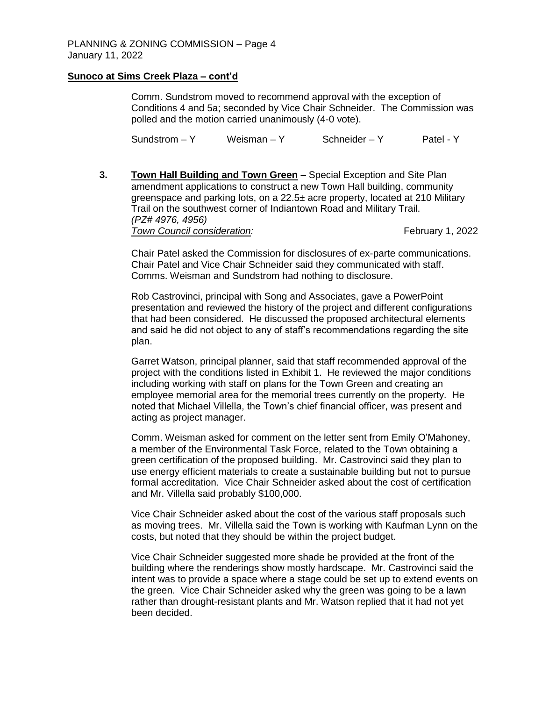## **Sunoco at Sims Creek Plaza – cont'd**

Comm. Sundstrom moved to recommend approval with the exception of Conditions 4 and 5a; seconded by Vice Chair Schneider. The Commission was polled and the motion carried unanimously (4-0 vote).

 $Sundstrom - Y$  Weisman – Y Schneider – Y Patel - Y

**3. Town Hall Building and Town Green** – Special Exception and Site Plan amendment applications to construct a new Town Hall building, community greenspace and parking lots, on a 22.5± acre property, located at 210 Military Trail on the southwest corner of Indiantown Road and Military Trail. *(PZ# 4976, 4956)*  **Town Council consideration:** Town Tebruary 1, 2022

Chair Patel asked the Commission for disclosures of ex-parte communications. Chair Patel and Vice Chair Schneider said they communicated with staff. Comms. Weisman and Sundstrom had nothing to disclosure.

Rob Castrovinci, principal with Song and Associates, gave a PowerPoint presentation and reviewed the history of the project and different configurations that had been considered. He discussed the proposed architectural elements and said he did not object to any of staff's recommendations regarding the site plan.

Garret Watson, principal planner, said that staff recommended approval of the project with the conditions listed in Exhibit 1. He reviewed the major conditions including working with staff on plans for the Town Green and creating an employee memorial area for the memorial trees currently on the property. He noted that Michael Villella, the Town's chief financial officer, was present and acting as project manager.

Comm. Weisman asked for comment on the letter sent from Emily O'Mahoney, a member of the Environmental Task Force, related to the Town obtaining a green certification of the proposed building. Mr. Castrovinci said they plan to use energy efficient materials to create a sustainable building but not to pursue formal accreditation. Vice Chair Schneider asked about the cost of certification and Mr. Villella said probably \$100,000.

Vice Chair Schneider asked about the cost of the various staff proposals such as moving trees. Mr. Villella said the Town is working with Kaufman Lynn on the costs, but noted that they should be within the project budget.

Vice Chair Schneider suggested more shade be provided at the front of the building where the renderings show mostly hardscape. Mr. Castrovinci said the intent was to provide a space where a stage could be set up to extend events on the green. Vice Chair Schneider asked why the green was going to be a lawn rather than drought-resistant plants and Mr. Watson replied that it had not yet been decided.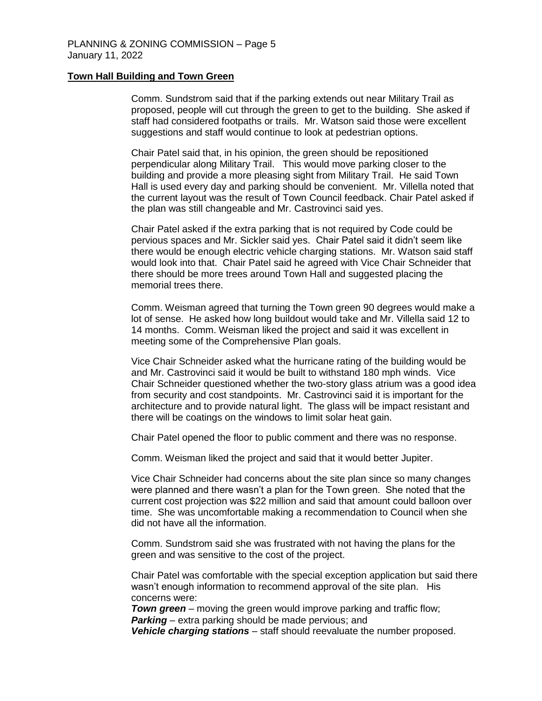#### **Town Hall Building and Town Green**

Comm. Sundstrom said that if the parking extends out near Military Trail as proposed, people will cut through the green to get to the building. She asked if staff had considered footpaths or trails. Mr. Watson said those were excellent suggestions and staff would continue to look at pedestrian options.

Chair Patel said that, in his opinion, the green should be repositioned perpendicular along Military Trail. This would move parking closer to the building and provide a more pleasing sight from Military Trail. He said Town Hall is used every day and parking should be convenient. Mr. Villella noted that the current layout was the result of Town Council feedback. Chair Patel asked if the plan was still changeable and Mr. Castrovinci said yes.

Chair Patel asked if the extra parking that is not required by Code could be pervious spaces and Mr. Sickler said yes. Chair Patel said it didn't seem like there would be enough electric vehicle charging stations. Mr. Watson said staff would look into that. Chair Patel said he agreed with Vice Chair Schneider that there should be more trees around Town Hall and suggested placing the memorial trees there.

Comm. Weisman agreed that turning the Town green 90 degrees would make a lot of sense. He asked how long buildout would take and Mr. Villella said 12 to 14 months. Comm. Weisman liked the project and said it was excellent in meeting some of the Comprehensive Plan goals.

Vice Chair Schneider asked what the hurricane rating of the building would be and Mr. Castrovinci said it would be built to withstand 180 mph winds. Vice Chair Schneider questioned whether the two-story glass atrium was a good idea from security and cost standpoints. Mr. Castrovinci said it is important for the architecture and to provide natural light. The glass will be impact resistant and there will be coatings on the windows to limit solar heat gain.

Chair Patel opened the floor to public comment and there was no response.

Comm. Weisman liked the project and said that it would better Jupiter.

Vice Chair Schneider had concerns about the site plan since so many changes were planned and there wasn't a plan for the Town green. She noted that the current cost projection was \$22 million and said that amount could balloon over time. She was uncomfortable making a recommendation to Council when she did not have all the information.

Comm. Sundstrom said she was frustrated with not having the plans for the green and was sensitive to the cost of the project.

Chair Patel was comfortable with the special exception application but said there wasn't enough information to recommend approval of the site plan. His concerns were:

*Town green* – moving the green would improve parking and traffic flow; *Parking* – extra parking should be made pervious; and

*Vehicle charging stations* – staff should reevaluate the number proposed.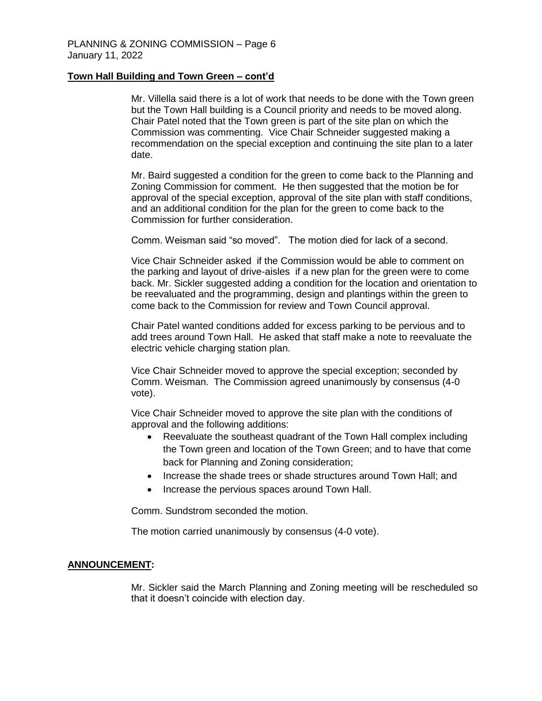## **Town Hall Building and Town Green – cont'd**

Mr. Villella said there is a lot of work that needs to be done with the Town green but the Town Hall building is a Council priority and needs to be moved along. Chair Patel noted that the Town green is part of the site plan on which the Commission was commenting. Vice Chair Schneider suggested making a recommendation on the special exception and continuing the site plan to a later date.

Mr. Baird suggested a condition for the green to come back to the Planning and Zoning Commission for comment. He then suggested that the motion be for approval of the special exception, approval of the site plan with staff conditions, and an additional condition for the plan for the green to come back to the Commission for further consideration.

Comm. Weisman said "so moved". The motion died for lack of a second.

Vice Chair Schneider asked if the Commission would be able to comment on the parking and layout of drive-aisles if a new plan for the green were to come back. Mr. Sickler suggested adding a condition for the location and orientation to be reevaluated and the programming, design and plantings within the green to come back to the Commission for review and Town Council approval.

Chair Patel wanted conditions added for excess parking to be pervious and to add trees around Town Hall. He asked that staff make a note to reevaluate the electric vehicle charging station plan.

Vice Chair Schneider moved to approve the special exception; seconded by Comm. Weisman. The Commission agreed unanimously by consensus (4-0 vote).

Vice Chair Schneider moved to approve the site plan with the conditions of approval and the following additions:

- Reevaluate the southeast quadrant of the Town Hall complex including the Town green and location of the Town Green; and to have that come back for Planning and Zoning consideration;
- Increase the shade trees or shade structures around Town Hall; and
- Increase the pervious spaces around Town Hall.

Comm. Sundstrom seconded the motion.

The motion carried unanimously by consensus (4-0 vote).

#### **ANNOUNCEMENT:**

Mr. Sickler said the March Planning and Zoning meeting will be rescheduled so that it doesn't coincide with election day.